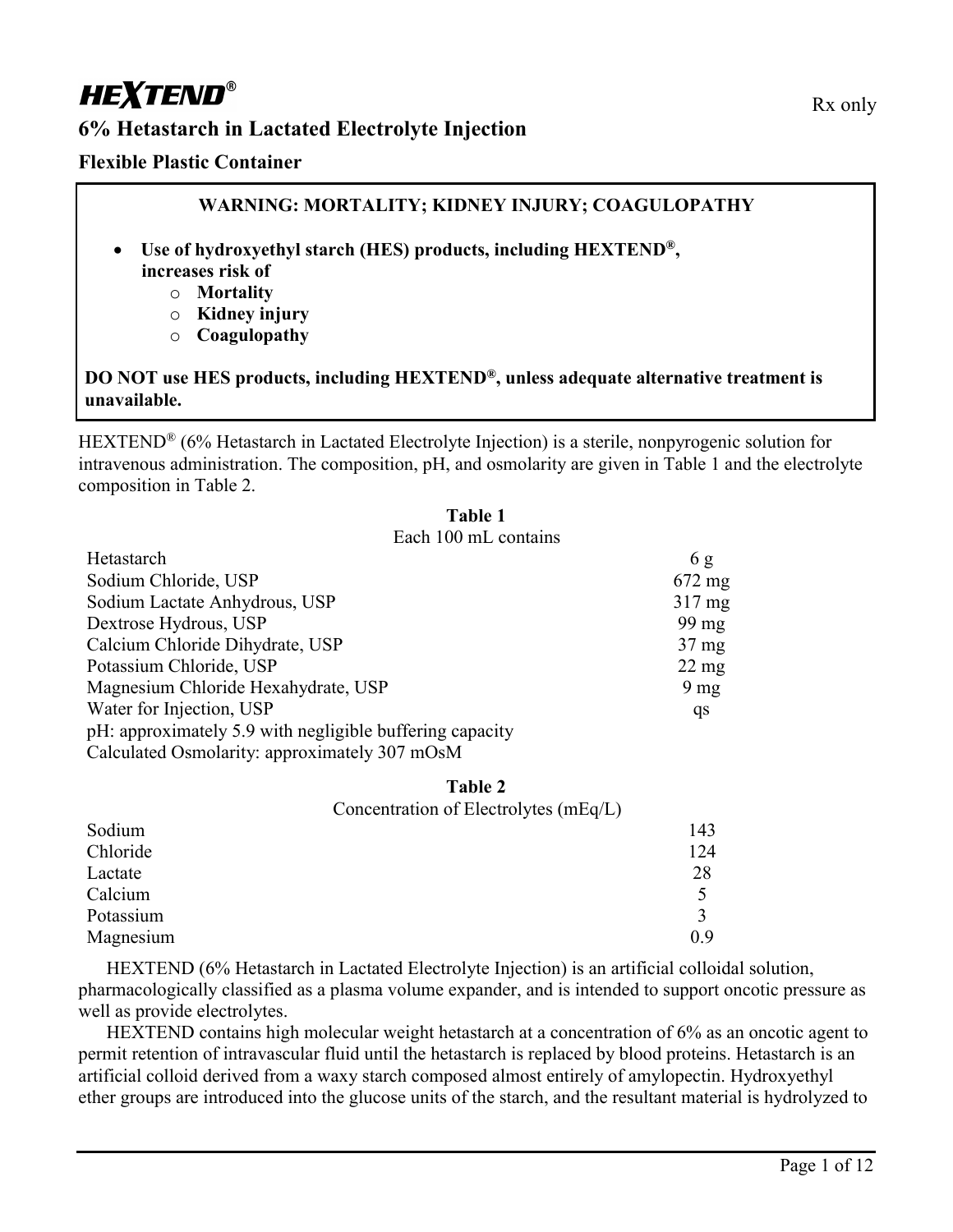# **HEXTEND®**

# **6% Hetastarch in Lactated Electrolyte Injection**

### **Flexible Plastic Container**

### **WARNING: MORTALITY; KIDNEY INJURY; COAGULOPATHY**

- **Use of hydroxyethyl starch (HES) products, including HEXTEND®, increases risk of**
	- o **Mortality**
	- o **Kidney injury**
	- o **Coagulopathy**

### **DO NOT use HES products, including HEXTEND®, unless adequate alternative treatment is unavailable.**

HEXTEND<sup>®</sup> (6% Hetastarch in Lactated Electrolyte Injection) is a sterile, nonpyrogenic solution for intravenous administration. The composition, pH, and osmolarity are given in Table 1 and the electrolyte composition in Table 2.

**Table 1**

| таше т                                                   |                  |
|----------------------------------------------------------|------------------|
| Each 100 mL contains                                     |                  |
| Hetastarch                                               | 6g               |
| Sodium Chloride, USP                                     | $672 \text{ mg}$ |
| Sodium Lactate Anhydrous, USP                            | $317 \text{ mg}$ |
| Dextrose Hydrous, USP                                    | 99 mg            |
| Calcium Chloride Dihydrate, USP                          | $37 \text{ mg}$  |
| Potassium Chloride, USP                                  | $22 \text{ mg}$  |
| Magnesium Chloride Hexahydrate, USP                      | 9 <sub>mg</sub>  |
| Water for Injection, USP                                 | qs               |
| pH: approximately 5.9 with negligible buffering capacity |                  |
| Calculated Osmolarity: approximately 307 mOsM            |                  |

#### **Table 2**

|           | Concentration of Electrolytes (mEq/L) |     |
|-----------|---------------------------------------|-----|
| Sodium    |                                       | 143 |
| Chloride  |                                       | 124 |
| Lactate   |                                       | 28  |
| Calcium   |                                       |     |
| Potassium |                                       |     |
| Magnesium |                                       | 0.9 |

HEXTEND (6% Hetastarch in Lactated Electrolyte Injection) is an artificial colloidal solution, pharmacologically classified as a plasma volume expander, and is intended to support oncotic pressure as well as provide electrolytes.

HEXTEND contains high molecular weight hetastarch at a concentration of 6% as an oncotic agent to permit retention of intravascular fluid until the hetastarch is replaced by blood proteins. Hetastarch is an artificial colloid derived from a waxy starch composed almost entirely of amylopectin. Hydroxyethyl ether groups are introduced into the glucose units of the starch, and the resultant material is hydrolyzed to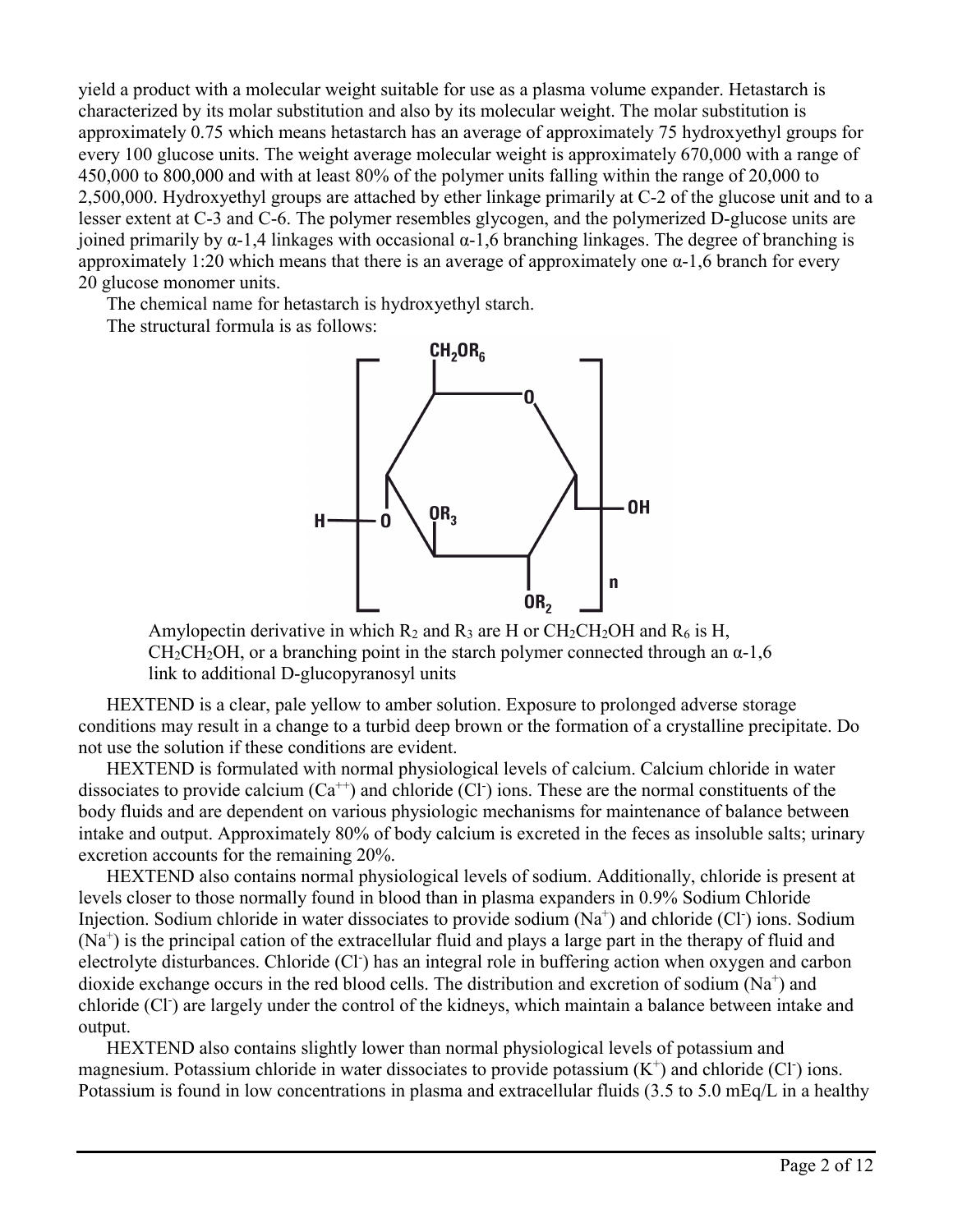yield a product with a molecular weight suitable for use as a plasma volume expander. Hetastarch is characterized by its molar substitution and also by its molecular weight. The molar substitution is approximately 0.75 which means hetastarch has an average of approximately 75 hydroxyethyl groups for every 100 glucose units. The weight average molecular weight is approximately 670,000 with a range of 450,000 to 800,000 and with at least 80% of the polymer units falling within the range of 20,000 to 2,500,000. Hydroxyethyl groups are attached by ether linkage primarily at C-2 of the glucose unit and to a lesser extent at C-3 and C-6. The polymer resembles glycogen, and the polymerized D-glucose units are joined primarily by α-1,4 linkages with occasional α-1,6 branching linkages. The degree of branching is approximately 1:20 which means that there is an average of approximately one  $\alpha$ -1,6 branch for every 20 glucose monomer units.

The chemical name for hetastarch is hydroxyethyl starch.

The structural formula is as follows:



Amylopectin derivative in which  $R_2$  and  $R_3$  are H or CH<sub>2</sub>CH<sub>2</sub>OH and  $R_6$  is H,  $CH_2CH_2OH$ , or a branching point in the starch polymer connected through an  $\alpha$ -1,6 link to additional D-glucopyranosyl units

HEXTEND is a clear, pale yellow to amber solution. Exposure to prolonged adverse storage conditions may result in a change to a turbid deep brown or the formation of a crystalline precipitate. Do not use the solution if these conditions are evident.

HEXTEND is formulated with normal physiological levels of calcium. Calcium chloride in water dissociates to provide calcium  $(Ca^{++})$  and chloride  $(Cl^+)$  ions. These are the normal constituents of the body fluids and are dependent on various physiologic mechanisms for maintenance of balance between intake and output. Approximately 80% of body calcium is excreted in the feces as insoluble salts; urinary excretion accounts for the remaining 20%.

HEXTEND also contains normal physiological levels of sodium. Additionally, chloride is present at levels closer to those normally found in blood than in plasma expanders in 0.9% Sodium Chloride Injection. Sodium chloride in water dissociates to provide sodium (Na<sup>+</sup>) and chloride (Cl<sup>-</sup>) ions. Sodium (Na<sup>+</sup>) is the principal cation of the extracellular fluid and plays a large part in the therapy of fluid and electrolyte disturbances. Chloride (Cl<sup>-</sup>) has an integral role in buffering action when oxygen and carbon dioxide exchange occurs in the red blood cells. The distribution and excretion of sodium  $(Na^+)$  and chloride (Cl<sup>-</sup>) are largely under the control of the kidneys, which maintain a balance between intake and output.

HEXTEND also contains slightly lower than normal physiological levels of potassium and magnesium. Potassium chloride in water dissociates to provide potassium  $(K^+)$  and chloride (Cl i) ions. Potassium is found in low concentrations in plasma and extracellular fluids (3.5 to 5.0 mEq/L in a healthy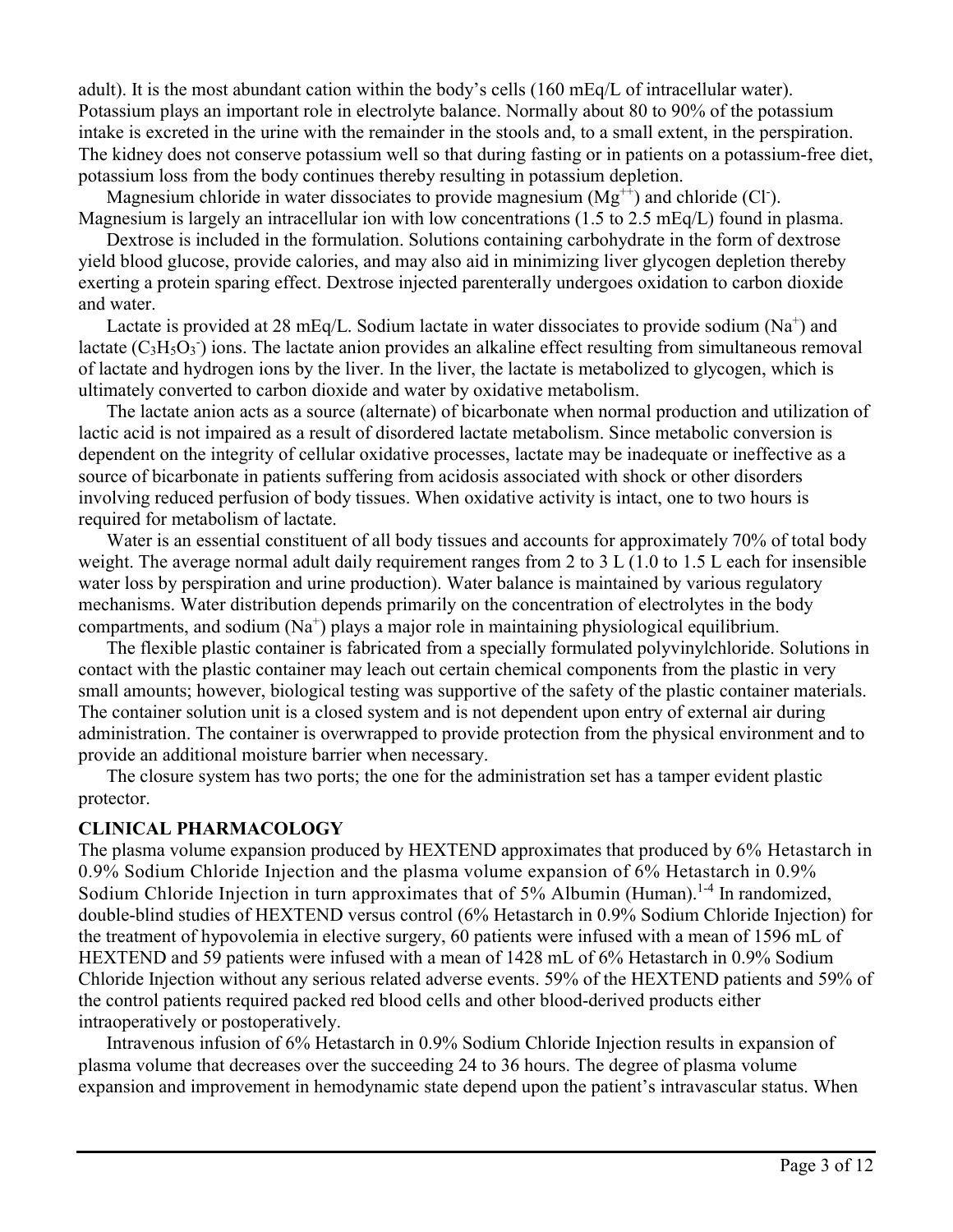adult). It is the most abundant cation within the body's cells (160 mEq/L of intracellular water). Potassium plays an important role in electrolyte balance. Normally about 80 to 90% of the potassium intake is excreted in the urine with the remainder in the stools and, to a small extent, in the perspiration. The kidney does not conserve potassium well so that during fasting or in patients on a potassium-free diet, potassium loss from the body continues thereby resulting in potassium depletion.

Magnesium chloride in water dissociates to provide magnesium  $(Mg^{++})$  and chloride (Cl<sup>-</sup>). Magnesium is largely an intracellular ion with low concentrations (1.5 to 2.5 mEq/L) found in plasma.

Dextrose is included in the formulation. Solutions containing carbohydrate in the form of dextrose yield blood glucose, provide calories, and may also aid in minimizing liver glycogen depletion thereby exerting a protein sparing effect. Dextrose injected parenterally undergoes oxidation to carbon dioxide and water.

Lactate is provided at 28 mEq/L. Sodium lactate in water dissociates to provide sodium ( $Na<sup>+</sup>$ ) and lactate  $(C_3H_5O_3)$  ions. The lactate anion provides an alkaline effect resulting from simultaneous removal of lactate and hydrogen ions by the liver. In the liver, the lactate is metabolized to glycogen, which is ultimately converted to carbon dioxide and water by oxidative metabolism.

The lactate anion acts as a source (alternate) of bicarbonate when normal production and utilization of lactic acid is not impaired as a result of disordered lactate metabolism. Since metabolic conversion is dependent on the integrity of cellular oxidative processes, lactate may be inadequate or ineffective as a source of bicarbonate in patients suffering from acidosis associated with shock or other disorders involving reduced perfusion of body tissues. When oxidative activity is intact, one to two hours is required for metabolism of lactate.

Water is an essential constituent of all body tissues and accounts for approximately 70% of total body weight. The average normal adult daily requirement ranges from 2 to 3 L (1.0 to 1.5 L each for insensible water loss by perspiration and urine production). Water balance is maintained by various regulatory mechanisms. Water distribution depends primarily on the concentration of electrolytes in the body compartments, and sodium (Na<sup>+</sup>) plays a major role in maintaining physiological equilibrium.

The flexible plastic container is fabricated from a specially formulated polyvinylchloride. Solutions in contact with the plastic container may leach out certain chemical components from the plastic in very small amounts; however, biological testing was supportive of the safety of the plastic container materials. The container solution unit is a closed system and is not dependent upon entry of external air during administration. The container is overwrapped to provide protection from the physical environment and to provide an additional moisture barrier when necessary.

The closure system has two ports; the one for the administration set has a tamper evident plastic protector.

#### **CLINICAL PHARMACOLOGY**

The plasma volume expansion produced by HEXTEND approximates that produced by 6% Hetastarch in 0.9% Sodium Chloride Injection and the plasma volume expansion of 6% Hetastarch in 0.9% Sodium Chloride Injection in turn approximates that of 5% Albumin (Human).<sup>1-4</sup> In randomized, double-blind studies of HEXTEND versus control (6% Hetastarch in 0.9% Sodium Chloride Injection) for the treatment of hypovolemia in elective surgery, 60 patients were infused with a mean of 1596 mL of HEXTEND and 59 patients were infused with a mean of 1428 mL of 6% Hetastarch in 0.9% Sodium Chloride Injection without any serious related adverse events. 59% of the HEXTEND patients and 59% of the control patients required packed red blood cells and other blood-derived products either intraoperatively or postoperatively.

Intravenous infusion of 6% Hetastarch in 0.9% Sodium Chloride Injection results in expansion of plasma volume that decreases over the succeeding 24 to 36 hours. The degree of plasma volume expansion and improvement in hemodynamic state depend upon the patient's intravascular status. When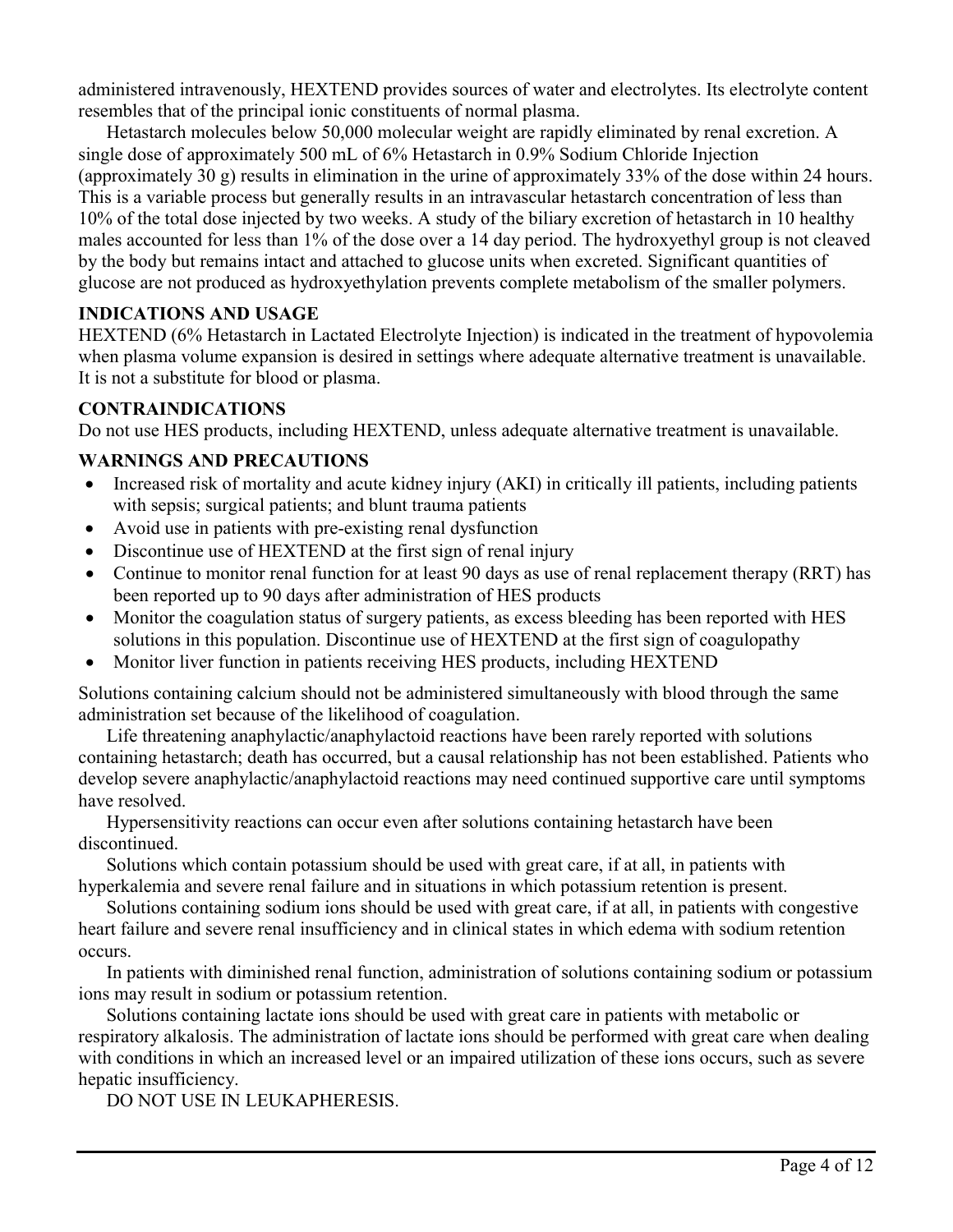administered intravenously, HEXTEND provides sources of water and electrolytes. Its electrolyte content resembles that of the principal ionic constituents of normal plasma.

Hetastarch molecules below 50,000 molecular weight are rapidly eliminated by renal excretion. A single dose of approximately 500 mL of 6% Hetastarch in 0.9% Sodium Chloride Injection (approximately 30 g) results in elimination in the urine of approximately 33% of the dose within 24 hours. This is a variable process but generally results in an intravascular hetastarch concentration of less than 10% of the total dose injected by two weeks. A study of the biliary excretion of hetastarch in 10 healthy males accounted for less than 1% of the dose over a 14 day period. The hydroxyethyl group is not cleaved by the body but remains intact and attached to glucose units when excreted. Significant quantities of glucose are not produced as hydroxyethylation prevents complete metabolism of the smaller polymers.

# **INDICATIONS AND USAGE**

HEXTEND (6% Hetastarch in Lactated Electrolyte Injection) is indicated in the treatment of hypovolemia when plasma volume expansion is desired in settings where adequate alternative treatment is unavailable. It is not a substitute for blood or plasma.

### **CONTRAINDICATIONS**

Do not use HES products, including HEXTEND, unless adequate alternative treatment is unavailable.

# **WARNINGS AND PRECAUTIONS**

- Increased risk of mortality and acute kidney injury (AKI) in critically ill patients, including patients with sepsis; surgical patients; and blunt trauma patients
- Avoid use in patients with pre-existing renal dysfunction
- Discontinue use of HEXTEND at the first sign of renal injury
- Continue to monitor renal function for at least 90 days as use of renal replacement therapy (RRT) has been reported up to 90 days after administration of HES products
- Monitor the coagulation status of surgery patients, as excess bleeding has been reported with HES solutions in this population. Discontinue use of HEXTEND at the first sign of coagulopathy
- Monitor liver function in patients receiving HES products, including HEXTEND

Solutions containing calcium should not be administered simultaneously with blood through the same administration set because of the likelihood of coagulation.

Life threatening anaphylactic/anaphylactoid reactions have been rarely reported with solutions containing hetastarch; death has occurred, but a causal relationship has not been established. Patients who develop severe anaphylactic/anaphylactoid reactions may need continued supportive care until symptoms have resolved.

Hypersensitivity reactions can occur even after solutions containing hetastarch have been discontinued.

Solutions which contain potassium should be used with great care, if at all, in patients with hyperkalemia and severe renal failure and in situations in which potassium retention is present.

Solutions containing sodium ions should be used with great care, if at all, in patients with congestive heart failure and severe renal insufficiency and in clinical states in which edema with sodium retention occurs.

In patients with diminished renal function, administration of solutions containing sodium or potassium ions may result in sodium or potassium retention.

Solutions containing lactate ions should be used with great care in patients with metabolic or respiratory alkalosis. The administration of lactate ions should be performed with great care when dealing with conditions in which an increased level or an impaired utilization of these ions occurs, such as severe hepatic insufficiency.

DO NOT USE IN LEUKAPHERESIS.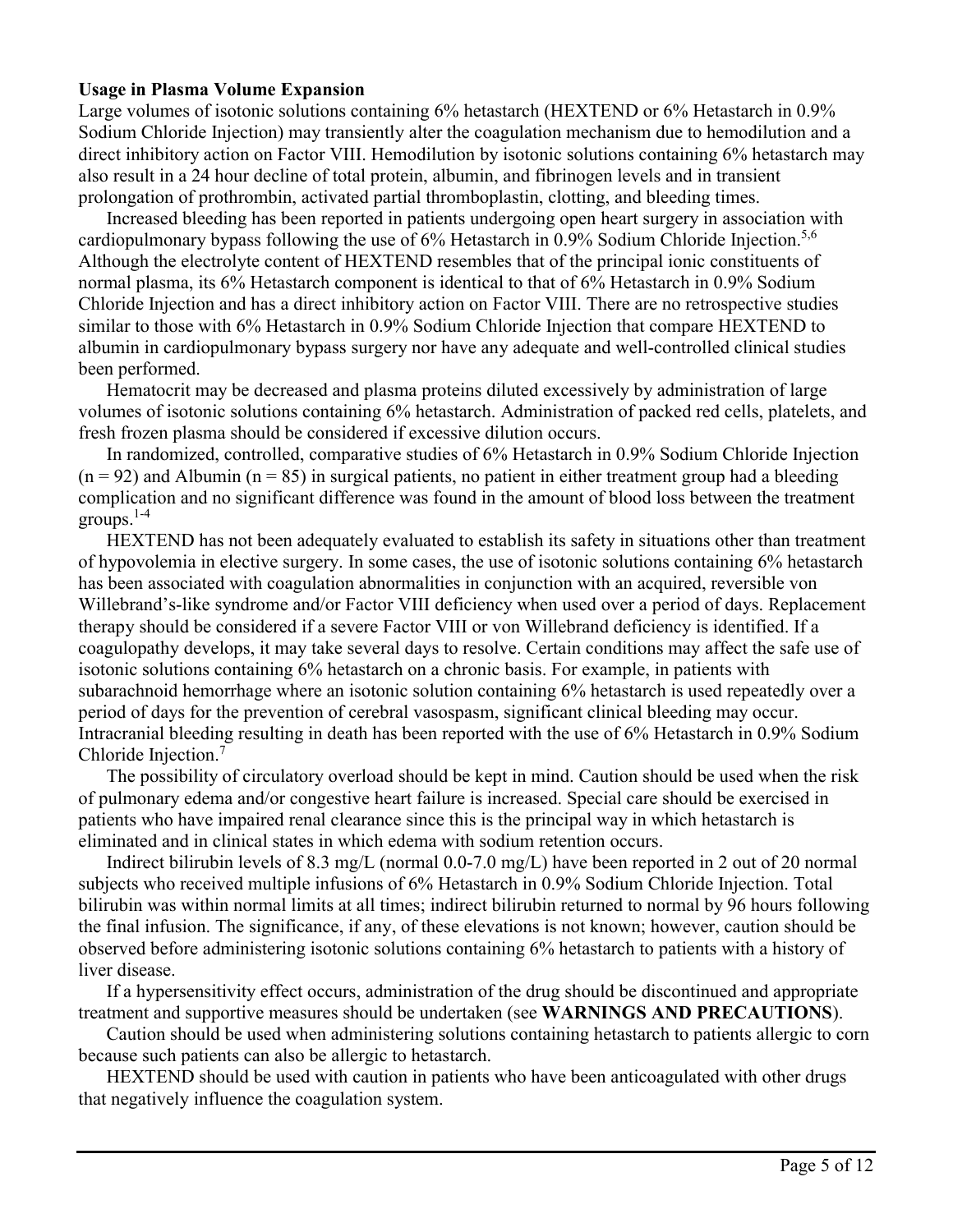#### **Usage in Plasma Volume Expansion**

Large volumes of isotonic solutions containing 6% hetastarch (HEXTEND or 6% Hetastarch in 0.9%) Sodium Chloride Injection) may transiently alter the coagulation mechanism due to hemodilution and a direct inhibitory action on Factor VIII. Hemodilution by isotonic solutions containing 6% hetastarch may also result in a 24 hour decline of total protein, albumin, and fibrinogen levels and in transient prolongation of prothrombin, activated partial thromboplastin, clotting, and bleeding times.

Increased bleeding has been reported in patients undergoing open heart surgery in association with cardiopulmonary bypass following the use of 6% Hetastarch in 0.9% Sodium Chloride Injection.<sup>5,6</sup> Although the electrolyte content of HEXTEND resembles that of the principal ionic constituents of normal plasma, its 6% Hetastarch component is identical to that of 6% Hetastarch in 0.9% Sodium Chloride Injection and has a direct inhibitory action on Factor VIII. There are no retrospective studies similar to those with 6% Hetastarch in 0.9% Sodium Chloride Injection that compare HEXTEND to albumin in cardiopulmonary bypass surgery nor have any adequate and well-controlled clinical studies been performed.

Hematocrit may be decreased and plasma proteins diluted excessively by administration of large volumes of isotonic solutions containing 6% hetastarch. Administration of packed red cells, platelets, and fresh frozen plasma should be considered if excessive dilution occurs.

In randomized, controlled, comparative studies of 6% Hetastarch in 0.9% Sodium Chloride Injection  $(n = 92)$  and Albumin  $(n = 85)$  in surgical patients, no patient in either treatment group had a bleeding complication and no significant difference was found in the amount of blood loss between the treatment groups. $1-4$ 

HEXTEND has not been adequately evaluated to establish its safety in situations other than treatment of hypovolemia in elective surgery. In some cases, the use of isotonic solutions containing 6% hetastarch has been associated with coagulation abnormalities in conjunction with an acquired, reversible von Willebrand's-like syndrome and/or Factor VIII deficiency when used over a period of days. Replacement therapy should be considered if a severe Factor VIII or von Willebrand deficiency is identified. If a coagulopathy develops, it may take several days to resolve. Certain conditions may affect the safe use of isotonic solutions containing 6% hetastarch on a chronic basis. For example, in patients with subarachnoid hemorrhage where an isotonic solution containing 6% hetastarch is used repeatedly over a period of days for the prevention of cerebral vasospasm, significant clinical bleeding may occur. Intracranial bleeding resulting in death has been reported with the use of 6% Hetastarch in 0.9% Sodium Chloride Injection.<sup>7</sup>

The possibility of circulatory overload should be kept in mind. Caution should be used when the risk of pulmonary edema and/or congestive heart failure is increased. Special care should be exercised in patients who have impaired renal clearance since this is the principal way in which hetastarch is eliminated and in clinical states in which edema with sodium retention occurs.

Indirect bilirubin levels of 8.3 mg/L (normal 0.0-7.0 mg/L) have been reported in 2 out of 20 normal subjects who received multiple infusions of 6% Hetastarch in 0.9% Sodium Chloride Injection. Total bilirubin was within normal limits at all times; indirect bilirubin returned to normal by 96 hours following the final infusion. The significance, if any, of these elevations is not known; however, caution should be observed before administering isotonic solutions containing 6% hetastarch to patients with a history of liver disease.

If a hypersensitivity effect occurs, administration of the drug should be discontinued and appropriate treatment and supportive measures should be undertaken (see **WARNINGS AND PRECAUTIONS**).

Caution should be used when administering solutions containing hetastarch to patients allergic to corn because such patients can also be allergic to hetastarch.

HEXTEND should be used with caution in patients who have been anticoagulated with other drugs that negatively influence the coagulation system.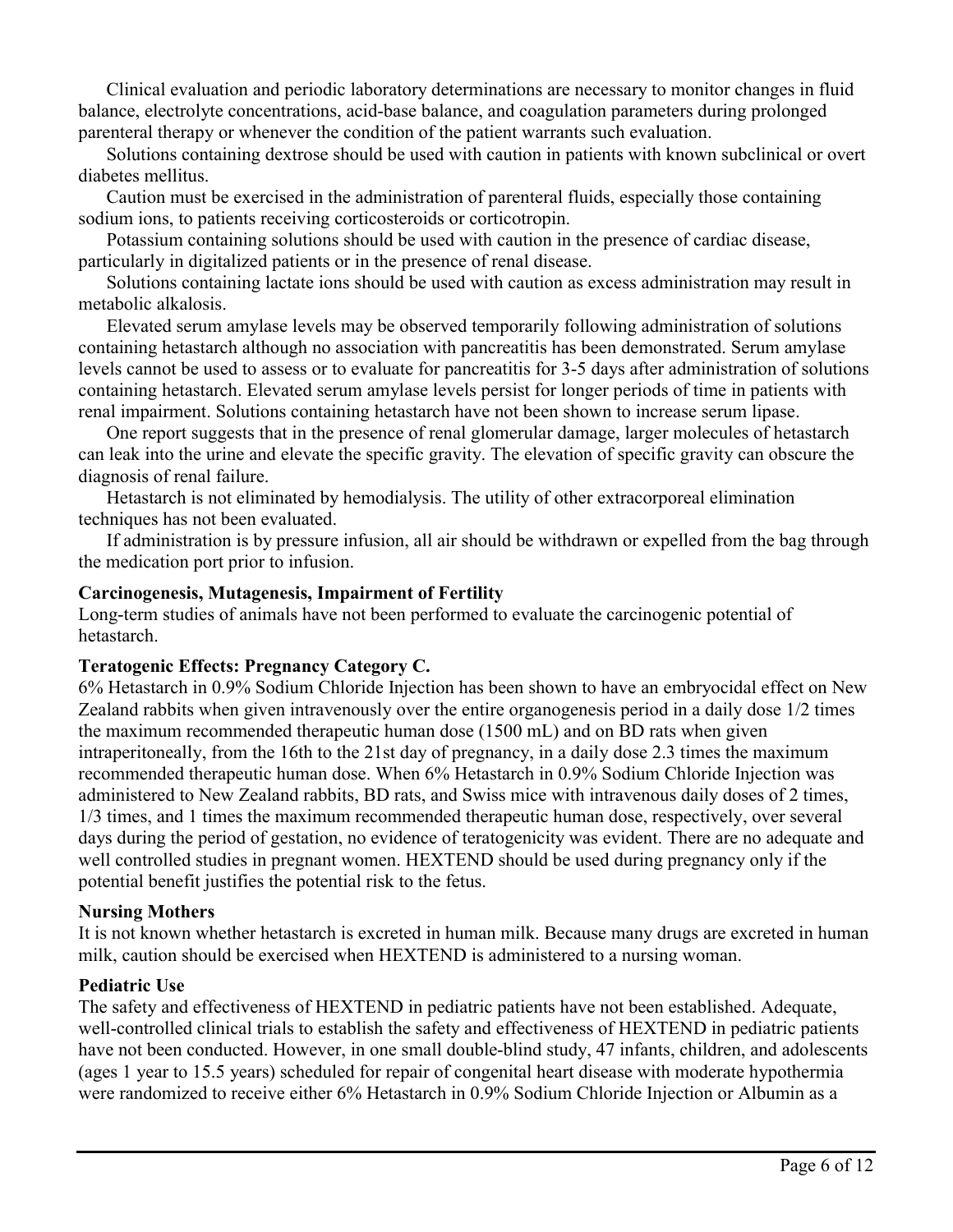Clinical evaluation and periodic laboratory determinations are necessary to monitor changes in fluid balance, electrolyte concentrations, acid-base balance, and coagulation parameters during prolonged parenteral therapy or whenever the condition of the patient warrants such evaluation.

Solutions containing dextrose should be used with caution in patients with known subclinical or overt diabetes mellitus.

Caution must be exercised in the administration of parenteral fluids, especially those containing sodium ions, to patients receiving corticosteroids or corticotropin.

Potassium containing solutions should be used with caution in the presence of cardiac disease, particularly in digitalized patients or in the presence of renal disease.

Solutions containing lactate ions should be used with caution as excess administration may result in metabolic alkalosis.

Elevated serum amylase levels may be observed temporarily following administration of solutions containing hetastarch although no association with pancreatitis has been demonstrated. Serum amylase levels cannot be used to assess or to evaluate for pancreatitis for 3-5 days after administration of solutions containing hetastarch. Elevated serum amylase levels persist for longer periods of time in patients with renal impairment. Solutions containing hetastarch have not been shown to increase serum lipase.

One report suggests that in the presence of renal glomerular damage, larger molecules of hetastarch can leak into the urine and elevate the specific gravity. The elevation of specific gravity can obscure the diagnosis of renal failure.

Hetastarch is not eliminated by hemodialysis. The utility of other extracorporeal elimination techniques has not been evaluated.

If administration is by pressure infusion, all air should be withdrawn or expelled from the bag through the medication port prior to infusion.

#### **Carcinogenesis, Mutagenesis, Impairment of Fertility**

Long-term studies of animals have not been performed to evaluate the carcinogenic potential of hetastarch.

### **Teratogenic Effects: Pregnancy Category C.**

6% Hetastarch in 0.9% Sodium Chloride Injection has been shown to have an embryocidal effect on New Zealand rabbits when given intravenously over the entire organogenesis period in a daily dose 1/2 times the maximum recommended therapeutic human dose (1500 mL) and on BD rats when given intraperitoneally, from the 16th to the 21st day of pregnancy, in a daily dose 2.3 times the maximum recommended therapeutic human dose. When 6% Hetastarch in 0.9% Sodium Chloride Injection was administered to New Zealand rabbits, BD rats, and Swiss mice with intravenous daily doses of 2 times, 1/3 times, and 1 times the maximum recommended therapeutic human dose, respectively, over several days during the period of gestation, no evidence of teratogenicity was evident. There are no adequate and well controlled studies in pregnant women. HEXTEND should be used during pregnancy only if the potential benefit justifies the potential risk to the fetus.

#### **Nursing Mothers**

It is not known whether hetastarch is excreted in human milk. Because many drugs are excreted in human milk, caution should be exercised when HEXTEND is administered to a nursing woman.

#### **Pediatric Use**

The safety and effectiveness of HEXTEND in pediatric patients have not been established. Adequate, well-controlled clinical trials to establish the safety and effectiveness of HEXTEND in pediatric patients have not been conducted. However, in one small double-blind study, 47 infants, children, and adolescents (ages 1 year to 15.5 years) scheduled for repair of congenital heart disease with moderate hypothermia were randomized to receive either 6% Hetastarch in 0.9% Sodium Chloride Injection or Albumin as a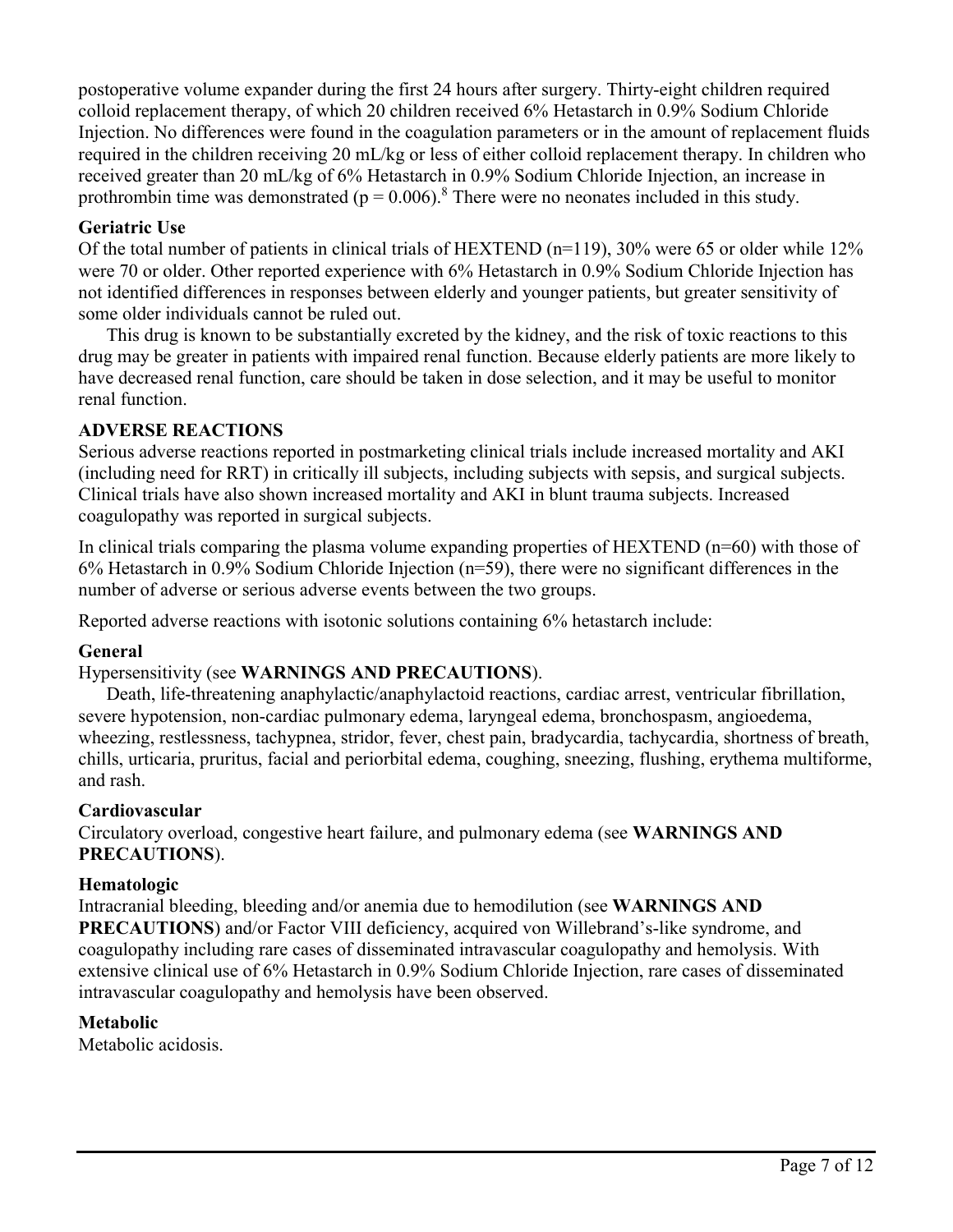postoperative volume expander during the first 24 hours after surgery. Thirty-eight children required colloid replacement therapy, of which 20 children received 6% Hetastarch in 0.9% Sodium Chloride Injection. No differences were found in the coagulation parameters or in the amount of replacement fluids required in the children receiving 20 mL/kg or less of either colloid replacement therapy. In children who received greater than 20 mL/kg of 6% Hetastarch in 0.9% Sodium Chloride Injection, an increase in prothrombin time was demonstrated ( $p = 0.006$ ).<sup>8</sup> There were no neonates included in this study.

# **Geriatric Use**

Of the total number of patients in clinical trials of HEXTEND (n=119), 30% were 65 or older while 12% were 70 or older. Other reported experience with 6% Hetastarch in 0.9% Sodium Chloride Injection has not identified differences in responses between elderly and younger patients, but greater sensitivity of some older individuals cannot be ruled out.

This drug is known to be substantially excreted by the kidney, and the risk of toxic reactions to this drug may be greater in patients with impaired renal function. Because elderly patients are more likely to have decreased renal function, care should be taken in dose selection, and it may be useful to monitor renal function.

# **ADVERSE REACTIONS**

Serious adverse reactions reported in postmarketing clinical trials include increased mortality and AKI (including need for RRT) in critically ill subjects, including subjects with sepsis, and surgical subjects. Clinical trials have also shown increased mortality and AKI in blunt trauma subjects. Increased coagulopathy was reported in surgical subjects.

In clinical trials comparing the plasma volume expanding properties of  $HEXTEND$  (n=60) with those of 6% Hetastarch in 0.9% Sodium Chloride Injection (n=59), there were no significant differences in the number of adverse or serious adverse events between the two groups.

Reported adverse reactions with isotonic solutions containing 6% hetastarch include:

# **General**

# Hypersensitivity (see **WARNINGS AND PRECAUTIONS**).

Death, life-threatening anaphylactic/anaphylactoid reactions, cardiac arrest, ventricular fibrillation, severe hypotension, non-cardiac pulmonary edema, laryngeal edema, bronchospasm, angioedema, wheezing, restlessness, tachypnea, stridor, fever, chest pain, bradycardia, tachycardia, shortness of breath, chills, urticaria, pruritus, facial and periorbital edema, coughing, sneezing, flushing, erythema multiforme, and rash.

# **Cardiovascular**

Circulatory overload, congestive heart failure, and pulmonary edema (see **WARNINGS AND PRECAUTIONS**).

# **Hematologic**

Intracranial bleeding, bleeding and/or anemia due to hemodilution (see **WARNINGS AND PRECAUTIONS**) and/or Factor VIII deficiency, acquired von Willebrand's-like syndrome, and coagulopathy including rare cases of disseminated intravascular coagulopathy and hemolysis. With extensive clinical use of 6% Hetastarch in 0.9% Sodium Chloride Injection, rare cases of disseminated intravascular coagulopathy and hemolysis have been observed.

# **Metabolic**

Metabolic acidosis.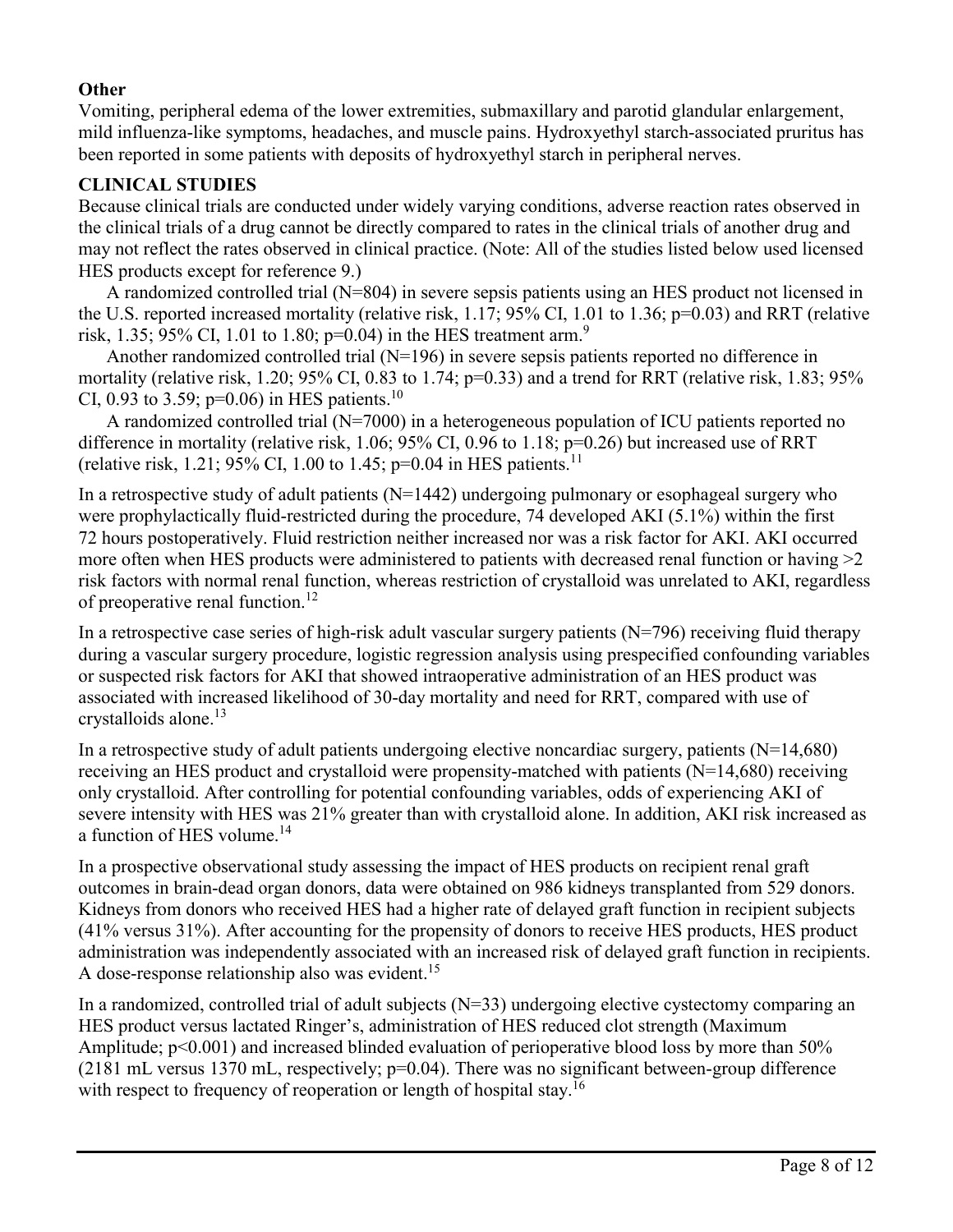### **Other**

Vomiting, peripheral edema of the lower extremities, submaxillary and parotid glandular enlargement, mild influenza-like symptoms, headaches, and muscle pains. Hydroxyethyl starch-associated pruritus has been reported in some patients with deposits of hydroxyethyl starch in peripheral nerves.

### **CLINICAL STUDIES**

Because clinical trials are conducted under widely varying conditions, adverse reaction rates observed in the clinical trials of a drug cannot be directly compared to rates in the clinical trials of another drug and may not reflect the rates observed in clinical practice. (Note: All of the studies listed below used licensed HES products except for reference 9.)

A randomized controlled trial (N=804) in severe sepsis patients using an HES product not licensed in the U.S. reported increased mortality (relative risk, 1.17; 95% CI, 1.01 to 1.36; p=0.03) and RRT (relative risk, 1.35; 95% CI, 1.01 to 1.80;  $p=0.04$ ) in the HES treatment arm.<sup>9</sup>

Another randomized controlled trial (N=196) in severe sepsis patients reported no difference in mortality (relative risk, 1.20; 95% CI, 0.83 to 1.74; p=0.33) and a trend for RRT (relative risk, 1.83; 95% CI, 0.93 to 3.59;  $p=0.06$ ) in HES patients.<sup>10</sup>

A randomized controlled trial (N=7000) in a heterogeneous population of ICU patients reported no difference in mortality (relative risk, 1.06; 95% CI, 0.96 to 1.18; p=0.26) but increased use of RRT (relative risk, 1.21; 95% CI, 1.00 to 1.45; p=0.04 in HES patients.<sup>11</sup>

In a retrospective study of adult patients  $(N=1442)$  undergoing pulmonary or esophageal surgery who were prophylactically fluid-restricted during the procedure, 74 developed AKI (5.1%) within the first 72 hours postoperatively. Fluid restriction neither increased nor was a risk factor for AKI. AKI occurred more often when HES products were administered to patients with decreased renal function or having  $>2$ risk factors with normal renal function, whereas restriction of crystalloid was unrelated to AKI, regardless of preoperative renal function.<sup>12</sup>

In a retrospective case series of high-risk adult vascular surgery patients (N=796) receiving fluid therapy during a vascular surgery procedure, logistic regression analysis using prespecified confounding variables or suspected risk factors for AKI that showed intraoperative administration of an HES product was associated with increased likelihood of 30-day mortality and need for RRT, compared with use of crystalloids alone.<sup>13</sup>

In a retrospective study of adult patients undergoing elective noncardiac surgery, patients  $(N=14,680)$ receiving an HES product and crystalloid were propensity-matched with patients (N=14,680) receiving only crystalloid. After controlling for potential confounding variables, odds of experiencing AKI of severe intensity with HES was 21% greater than with crystalloid alone. In addition, AKI risk increased as a function of HES volume.<sup>14</sup>

In a prospective observational study assessing the impact of HES products on recipient renal graft outcomes in brain-dead organ donors, data were obtained on 986 kidneys transplanted from 529 donors. Kidneys from donors who received HES had a higher rate of delayed graft function in recipient subjects (41% versus 31%). After accounting for the propensity of donors to receive HES products, HES product administration was independently associated with an increased risk of delayed graft function in recipients. A dose-response relationship also was evident.<sup>15</sup>

In a randomized, controlled trial of adult subjects  $(N=33)$  undergoing elective cystectomy comparing an HES product versus lactated Ringer's, administration of HES reduced clot strength (Maximum Amplitude;  $p<0.001$ ) and increased blinded evaluation of perioperative blood loss by more than 50% (2181 mL versus 1370 mL, respectively; p=0.04). There was no significant between-group difference with respect to frequency of reoperation or length of hospital stay.<sup>16</sup>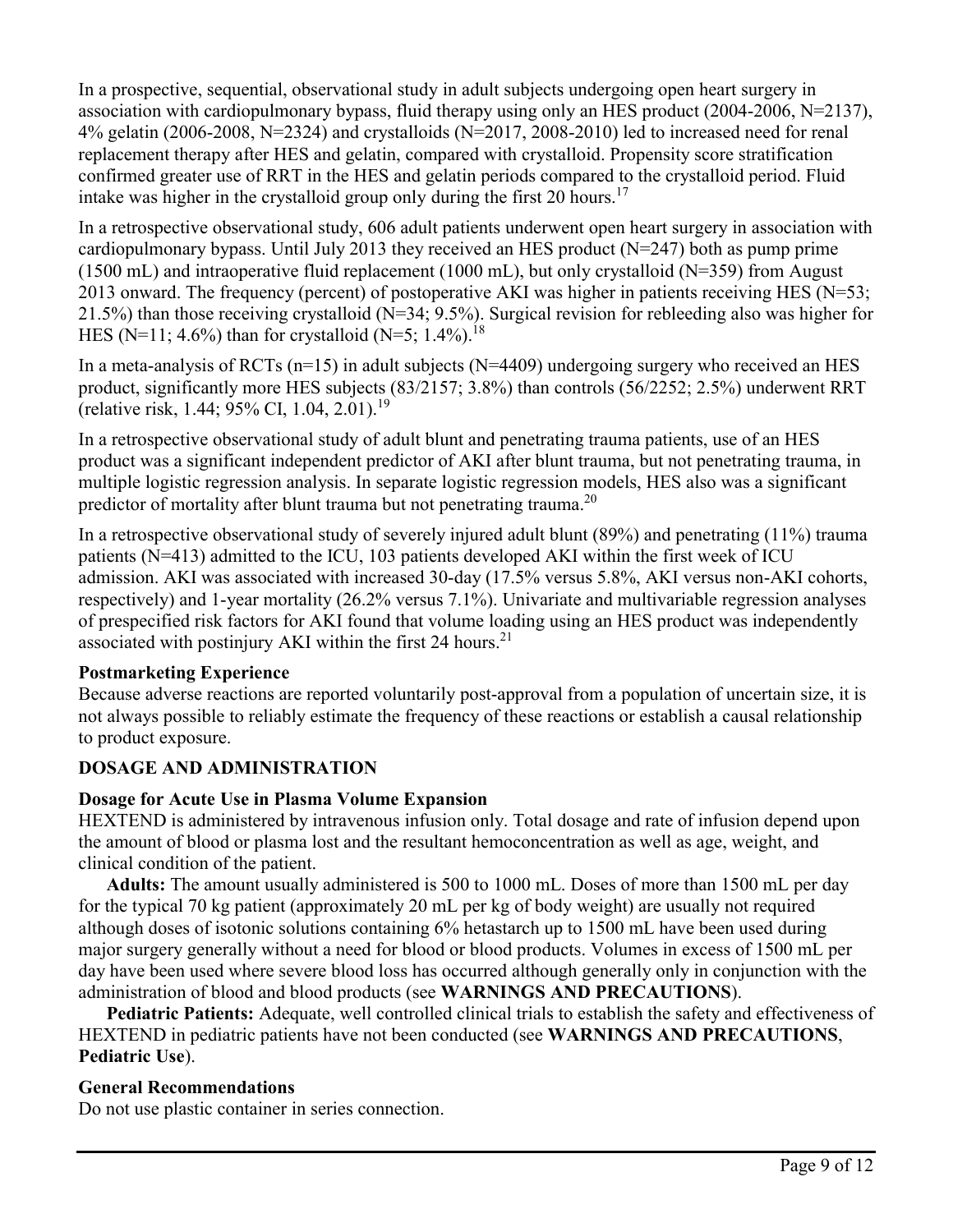In a prospective, sequential, observational study in adult subjects undergoing open heart surgery in association with cardiopulmonary bypass, fluid therapy using only an HES product (2004-2006, N=2137),  $4\%$  gelatin (2006-2008, N=2324) and crystalloids (N=2017, 2008-2010) led to increased need for renal replacement therapy after HES and gelatin, compared with crystalloid. Propensity score stratification confirmed greater use of RRT in the HES and gelatin periods compared to the crystalloid period. Fluid intake was higher in the crystalloid group only during the first 20 hours.<sup>17</sup>

In a retrospective observational study, 606 adult patients underwent open heart surgery in association with cardiopulmonary bypass. Until July 2013 they received an HES product (N=247) both as pump prime  $(1500 \text{ mL})$  and intraoperative fluid replacement  $(1000 \text{ mL})$ , but only crystalloid (N=359) from August 2013 onward. The frequency (percent) of postoperative AKI was higher in patients receiving HES (N=53; 21.5%) than those receiving crystalloid (N=34; 9.5%). Surgical revision for rebleeding also was higher for HES (N=11; 4.6%) than for crystalloid (N=5; 1.4%).<sup>18</sup>

In a meta-analysis of RCTs  $(n=15)$  in adult subjects  $(N=4409)$  undergoing surgery who received an HES product, significantly more HES subjects (83/2157; 3.8%) than controls (56/2252; 2.5%) underwent RRT (relative risk, 1.44; 95% CI, 1.04, 2.01).<sup>19</sup>

In a retrospective observational study of adult blunt and penetrating trauma patients, use of an HES product was a significant independent predictor of AKI after blunt trauma, but not penetrating trauma, in multiple logistic regression analysis. In separate logistic regression models, HES also was a significant predictor of mortality after blunt trauma but not penetrating trauma.<sup>20</sup>

In a retrospective observational study of severely injured adult blunt (89%) and penetrating (11%) trauma patients (N=413) admitted to the ICU, 103 patients developed AKI within the first week of ICU admission. AKI was associated with increased 30-day (17.5% versus 5.8%, AKI versus non-AKI cohorts, respectively) and 1-year mortality (26.2% versus 7.1%). Univariate and multivariable regression analyses of prespecified risk factors for AKI found that volume loading using an HES product was independently associated with postinjury AKI within the first 24 hours.<sup>21</sup>

### **Postmarketing Experience**

Because adverse reactions are reported voluntarily post-approval from a population of uncertain size, it is not always possible to reliably estimate the frequency of these reactions or establish a causal relationship to product exposure.

# **DOSAGE AND ADMINISTRATION**

# **Dosage for Acute Use in Plasma Volume Expansion**

HEXTEND is administered by intravenous infusion only. Total dosage and rate of infusion depend upon the amount of blood or plasma lost and the resultant hemoconcentration as well as age, weight, and clinical condition of the patient.

**Adults:** The amount usually administered is 500 to 1000 mL. Doses of more than 1500 mL per day for the typical 70 kg patient (approximately 20 mL per kg of body weight) are usually not required although doses of isotonic solutions containing 6% hetastarch up to 1500 mL have been used during major surgery generally without a need for blood or blood products. Volumes in excess of 1500 mL per day have been used where severe blood loss has occurred although generally only in conjunction with the administration of blood and blood products (see **WARNINGS AND PRECAUTIONS**).

**Pediatric Patients:** Adequate, well controlled clinical trials to establish the safety and effectiveness of HEXTEND in pediatric patients have not been conducted (see **WARNINGS AND PRECAUTIONS**, **Pediatric Use**).

# **General Recommendations**

Do not use plastic container in series connection.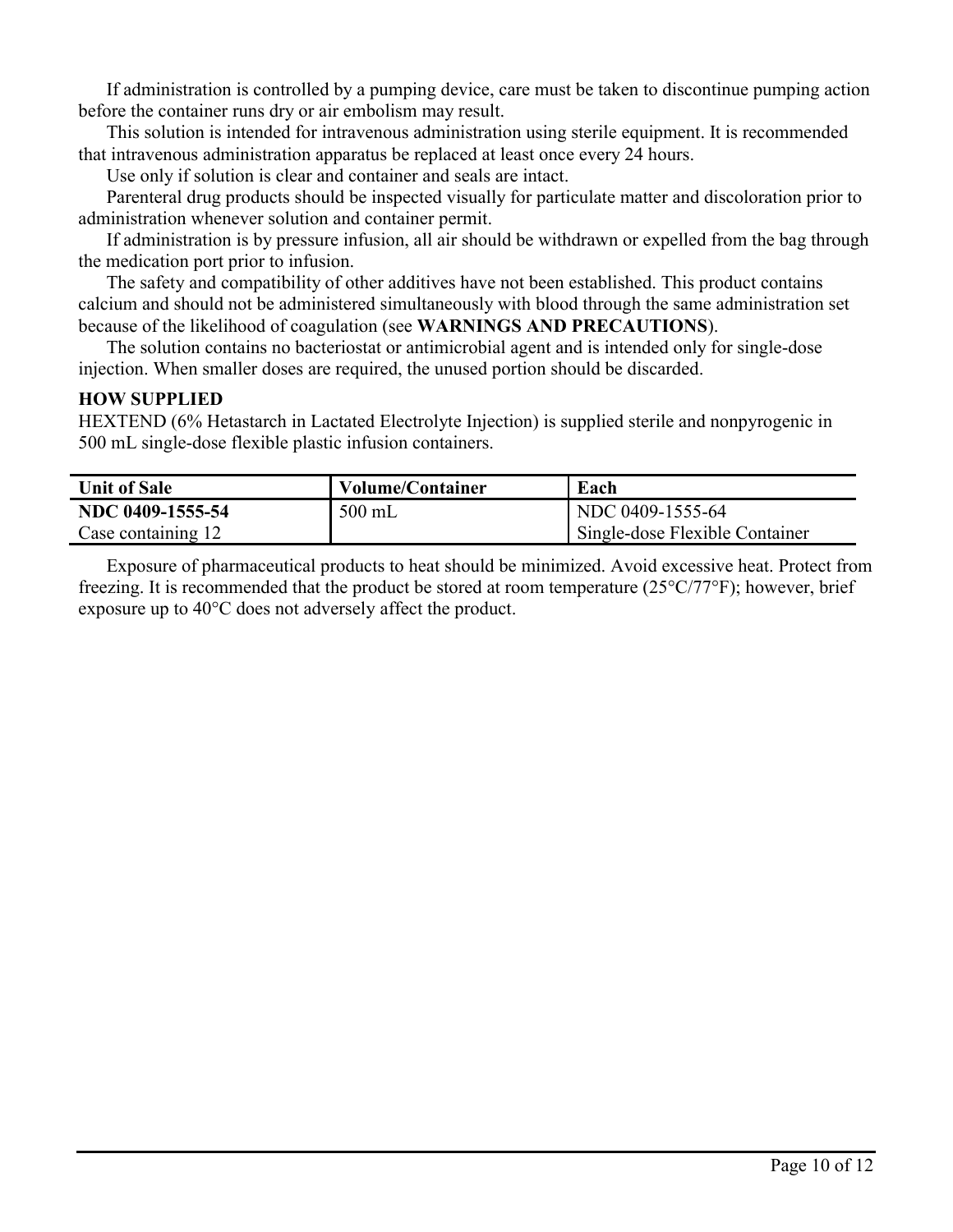If administration is controlled by a pumping device, care must be taken to discontinue pumping action before the container runs dry or air embolism may result.

This solution is intended for intravenous administration using sterile equipment. It is recommended that intravenous administration apparatus be replaced at least once every 24 hours.

Use only if solution is clear and container and seals are intact.

Parenteral drug products should be inspected visually for particulate matter and discoloration prior to administration whenever solution and container permit.

If administration is by pressure infusion, all air should be withdrawn or expelled from the bag through the medication port prior to infusion.

The safety and compatibility of other additives have not been established. This product contains calcium and should not be administered simultaneously with blood through the same administration set because of the likelihood of coagulation (see **WARNINGS AND PRECAUTIONS**).

The solution contains no bacteriostat or antimicrobial agent and is intended only for single-dose injection. When smaller doses are required, the unused portion should be discarded.

#### **HOW SUPPLIED**

HEXTEND (6% Hetastarch in Lactated Electrolyte Injection) is supplied sterile and nonpyrogenic in 500 mL single-dose flexible plastic infusion containers.

| Unit of Sale       | <b>Volume/Container</b> | Each                           |
|--------------------|-------------------------|--------------------------------|
| NDC 0409-1555-54   | $500$ mL                | NDC 0409-1555-64               |
| Case containing 12 |                         | Single-dose Flexible Container |

Exposure of pharmaceutical products to heat should be minimized. Avoid excessive heat. Protect from freezing. It is recommended that the product be stored at room temperature (25°C/77°F); however, brief exposure up to 40°C does not adversely affect the product.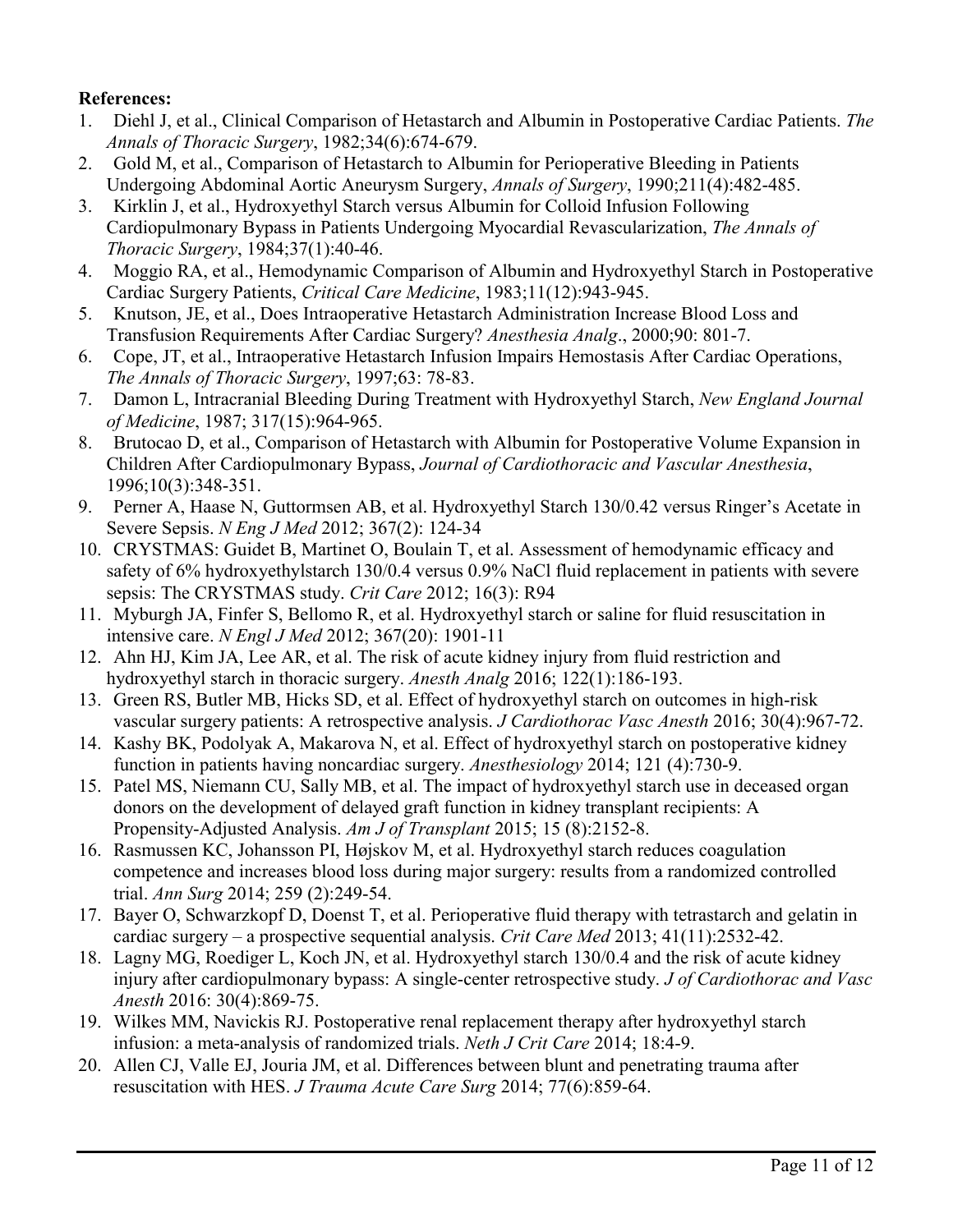# **References:**

- 1. Diehl J, et al., Clinical Comparison of Hetastarch and Albumin in Postoperative Cardiac Patients. *The Annals of Thoracic Surgery*, 1982;34(6):674-679.
- 2. Gold M, et al., Comparison of Hetastarch to Albumin for Perioperative Bleeding in Patients Undergoing Abdominal Aortic Aneurysm Surgery, *Annals of Surgery*, 1990;211(4):482-485.
- 3. Kirklin J, et al., Hydroxyethyl Starch versus Albumin for Colloid Infusion Following Cardiopulmonary Bypass in Patients Undergoing Myocardial Revascularization, *The Annals of Thoracic Surgery*, 1984;37(1):40-46.
- 4. Moggio RA, et al., Hemodynamic Comparison of Albumin and Hydroxyethyl Starch in Postoperative Cardiac Surgery Patients, *Critical Care Medicine*, 1983;11(12):943-945.
- 5. Knutson, JE, et al., Does Intraoperative Hetastarch Administration Increase Blood Loss and Transfusion Requirements After Cardiac Surgery? *Anesthesia Analg*., 2000;90: 801-7.
- 6. Cope, JT, et al., Intraoperative Hetastarch Infusion Impairs Hemostasis After Cardiac Operations, *The Annals of Thoracic Surgery*, 1997;63: 78-83.
- 7. Damon L, Intracranial Bleeding During Treatment with Hydroxyethyl Starch, *New England Journal of Medicine*, 1987; 317(15):964-965.
- 8. Brutocao D, et al., Comparison of Hetastarch with Albumin for Postoperative Volume Expansion in Children After Cardiopulmonary Bypass, *Journal of Cardiothoracic and Vascular Anesthesia*, 1996;10(3):348-351.
- 9. Perner A, Haase N, Guttormsen AB, et al. Hydroxyethyl Starch 130/0.42 versus Ringer's Acetate in Severe Sepsis. *N Eng J Med* 2012; 367(2): 124-34
- 10. CRYSTMAS: Guidet B, Martinet O, Boulain T, et al. Assessment of hemodynamic efficacy and safety of 6% hydroxyethylstarch 130/0.4 versus 0.9% NaCl fluid replacement in patients with severe sepsis: The CRYSTMAS study. *Crit Care* 2012; 16(3): R94
- 11. Myburgh JA, Finfer S, Bellomo R, et al. Hydroxyethyl starch or saline for fluid resuscitation in intensive care. *N Engl J Med* 2012; 367(20): 1901-11
- 12. Ahn HJ, Kim JA, Lee AR, et al. The risk of acute kidney injury from fluid restriction and hydroxyethyl starch in thoracic surgery. *Anesth Analg* 2016; 122(1):186-193.
- 13. Green RS, Butler MB, Hicks SD, et al. Effect of hydroxyethyl starch on outcomes in high-risk vascular surgery patients: A retrospective analysis. *J Cardiothorac Vasc Anesth* 2016; 30(4):967-72.
- 14. Kashy BK, Podolyak A, Makarova N, et al. Effect of hydroxyethyl starch on postoperative kidney function in patients having noncardiac surgery. *Anesthesiology* 2014; 121 (4):730-9.
- 15. Patel MS, Niemann CU, Sally MB, et al. The impact of hydroxyethyl starch use in deceased organ donors on the development of delayed graft function in kidney transplant recipients: A Propensity-Adjusted Analysis. *Am J of Transplant* 2015; 15 (8):2152-8.
- 16. Rasmussen KC, Johansson PI, Højskov M, et al. Hydroxyethyl starch reduces coagulation competence and increases blood loss during major surgery: results from a randomized controlled trial. *Ann Surg* 2014; 259 (2):249-54.
- 17. Bayer O, Schwarzkopf D, Doenst T, et al. Perioperative fluid therapy with tetrastarch and gelatin in cardiac surgery – a prospective sequential analysis. *Crit Care Med* 2013; 41(11):2532-42.
- 18. Lagny MG, Roediger L, Koch JN, et al. Hydroxyethyl starch 130/0.4 and the risk of acute kidney injury after cardiopulmonary bypass: A single-center retrospective study. *J of Cardiothorac and Vasc Anesth* 2016: 30(4):869-75.
- 19. Wilkes MM, Navickis RJ. Postoperative renal replacement therapy after hydroxyethyl starch infusion: a meta-analysis of randomized trials. *Neth J Crit Care* 2014; 18:4-9.
- 20. Allen CJ, Valle EJ, Jouria JM, et al. Differences between blunt and penetrating trauma after resuscitation with HES. *J Trauma Acute Care Surg* 2014; 77(6):859-64.